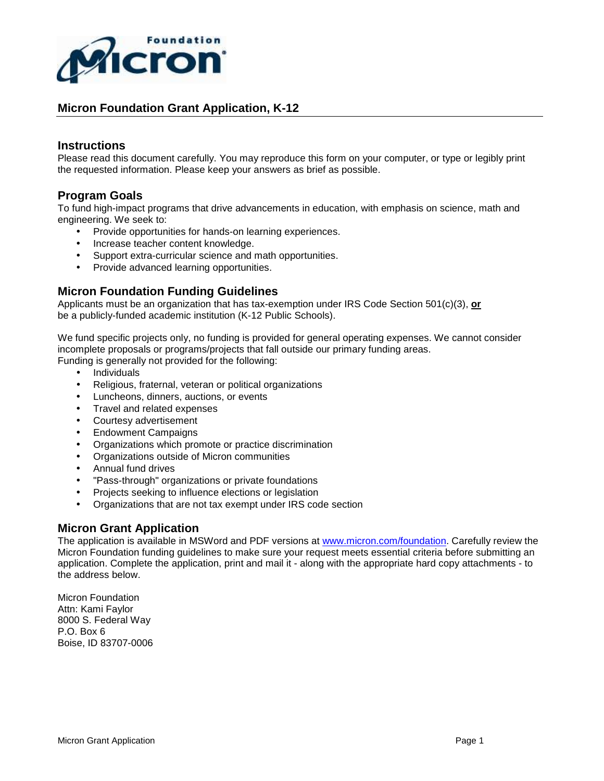

#### **Instructions**

Please read this document carefully. You may reproduce this form on your computer, or type or legibly print the requested information. Please keep your answers as brief as possible.

# **Program Goals**

To fund high-impact programs that drive advancements in education, with emphasis on science, math and engineering. We seek to:

- Provide opportunities for hands-on learning experiences.
- Increase teacher content knowledge.
- Support extra-curricular science and math opportunities.
- Provide advanced learning opportunities.

# **Micron Foundation Funding Guidelines**

Applicants must be an organization that has tax-exemption under IRS Code Section 501(c)(3), **or** be a publicly-funded academic institution (K-12 Public Schools).

We fund specific projects only, no funding is provided for general operating expenses. We cannot consider incomplete proposals or programs/projects that fall outside our primary funding areas.

Funding is generally not provided for the following:

- Individuals
- Religious, fraternal, veteran or political organizations
- Luncheons, dinners, auctions, or events
- Travel and related expenses
- Courtesy advertisement
- Endowment Campaigns
- Organizations which promote or practice discrimination
- Organizations outside of Micron communities
- Annual fund drives
- "Pass-through" organizations or private foundations
- Projects seeking to influence elections or legislation
- Organizations that are not tax exempt under IRS code section

# **Micron Grant Application**

The application is available in MSWord and PDF versions at www.micron.com/foundation. Carefully review the Micron Foundation funding guidelines to make sure your request meets essential criteria before submitting an application. Complete the application, print and mail it - along with the appropriate hard copy attachments - to the address below.

Micron Foundation Attn: Kami Faylor 8000 S. Federal Way P.O. Box 6 Boise, ID 83707-0006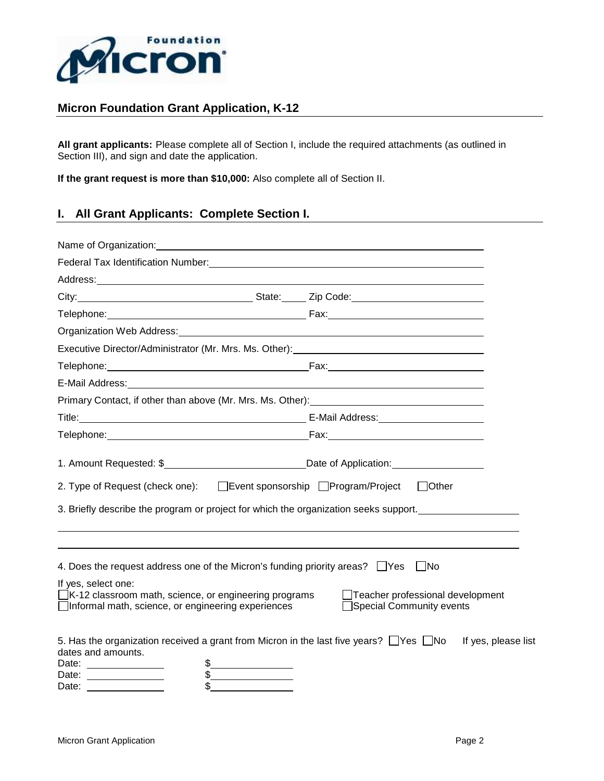

**All grant applicants:** Please complete all of Section I, include the required attachments (as outlined in Section III), and sign and date the application.

**If the grant request is more than \$10,000:** Also complete all of Section II.

# **I. All Grant Applicants: Complete Section I.**

|                                                                                                                                                                                                                                  | Federal Tax Identification Number: The Contract of the Contract of the Contract of the Contract of the Contract of the Contract of the Contract of the Contract of the Contract of the Contract of the Contract of the Contrac |
|----------------------------------------------------------------------------------------------------------------------------------------------------------------------------------------------------------------------------------|--------------------------------------------------------------------------------------------------------------------------------------------------------------------------------------------------------------------------------|
| Address: Address: Address: Address: Address: Address: Address: Address: Address: Address: Address: Address: Address: Address: Address: Address: Address: Address: Address: Address: Address: Address: Address: Address: Addres   |                                                                                                                                                                                                                                |
|                                                                                                                                                                                                                                  |                                                                                                                                                                                                                                |
|                                                                                                                                                                                                                                  |                                                                                                                                                                                                                                |
|                                                                                                                                                                                                                                  | Organization Web Address: Manual Manual Manual Manual Manual Manual Manual Manual Manual Manual Manual Manual                                                                                                                  |
|                                                                                                                                                                                                                                  | Executive Director/Administrator (Mr. Mrs. Ms. Other): _________________________                                                                                                                                               |
|                                                                                                                                                                                                                                  |                                                                                                                                                                                                                                |
| E-Mail Address: No. 2006. The Mail Address: No. 2006. The Mail Address: No. 2006. The Mail Address:                                                                                                                              |                                                                                                                                                                                                                                |
|                                                                                                                                                                                                                                  | Primary Contact, if other than above (Mr. Mrs. Ms. Other): ______________________                                                                                                                                              |
|                                                                                                                                                                                                                                  |                                                                                                                                                                                                                                |
|                                                                                                                                                                                                                                  |                                                                                                                                                                                                                                |
| 2. Type of Request (check one): □ Event sponsorship □ Program/Project □ Other                                                                                                                                                    | 3. Briefly describe the program or project for which the organization seeks support.                                                                                                                                           |
| 4. Does the request address one of the Micron's funding priority areas? $\Box$ Yes<br>If yes, select one:<br>$\Box$ K-12 classroom math, science, or engineering programs<br>□Informal math, science, or engineering experiences | No<br>Teacher professional development<br>Special Community events                                                                                                                                                             |
| 5. Has the organization received a grant from Micron in the last five years? $\Box$ Yes $\Box$ No<br>dates and amounts.<br>Date: _______________<br>\$<br>Date:<br>Date:                                                         | If yes, please list                                                                                                                                                                                                            |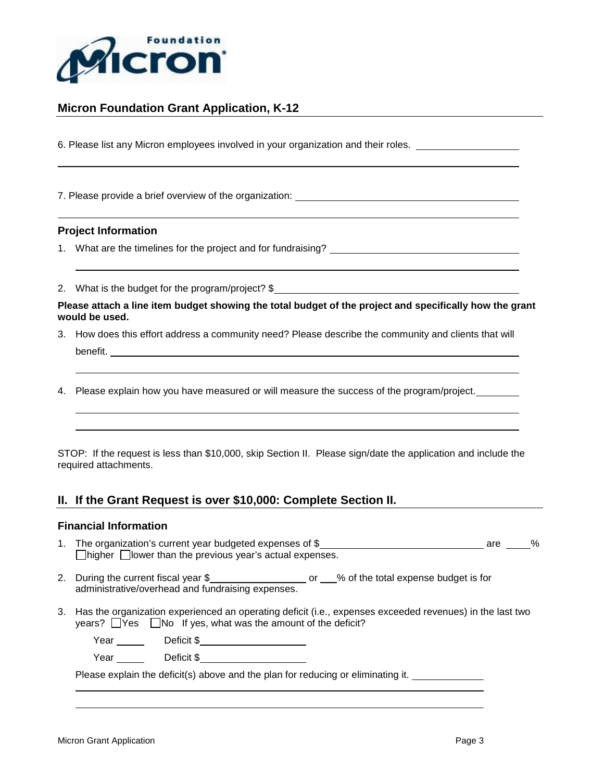

6. Please list any Micron employees involved in your organization and their roles.

7. Please provide a brief overview of the organization:

#### **Project Information**

- 1. What are the timelines for the project and for fundraising?
- 2. What is the budget for the program/project? \$

**Please attach a line item budget showing the total budget of the project and specifically how the grant would be used.** 

- 3. How does this effort address a community need? Please describe the community and clients that will benefit.
- 4. Please explain how you have measured or will measure the success of the program/project.

STOP: If the request is less than \$10,000, skip Section II. Please sign/date the application and include the required attachments.

# **II. If the Grant Request is over \$10,000: Complete Section II.**

#### **Financial Information**

- 1. The organization's current year budgeted expenses of \$ **are \$** are  $\%$  $\Box$ higher  $\Box$ lower than the previous year's actual expenses.
- 2. During the current fiscal year \$\_\_\_\_\_\_\_\_\_\_\_\_\_\_\_\_\_\_\_\_\_ or \_\_\_% of the total expense budget is for administrative/overhead and fundraising expenses.
- 3. Has the organization experienced an operating deficit (i.e., expenses exceeded revenues) in the last two years?  $\Box$  Yes  $\Box$  No If yes, what was the amount of the deficit?

Year Deficit \$

Year Deficit \$

Please explain the deficit(s) above and the plan for reducing or eliminating it. \_\_\_\_\_\_\_\_\_\_\_\_\_\_\_\_\_\_\_